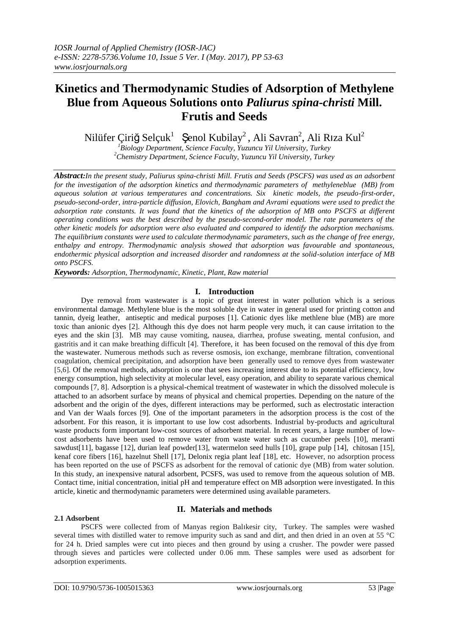# **Kinetics and Thermodynamic Studies of Adsorption of Methylene Blue from Aqueous Solutions onto** *Paliurus spina-christi* **Mill. Frutis and Seeds**

Nilüfer Çiriğ Selçuk $^1$  Şenol Kubilay $^2$ , Ali Savran $^2$ , Ali Rıza Kul $^2$ 

*<sup>1</sup>Biology Department, Science Faculty, Yuzuncu Yil University, Turkey <sup>2</sup>Chemistry Department, Science Faculty, Yuzuncu Yil University, Turkey*

*Abstract:In the present study, Paliurus spina-christi Mill. Frutis and Seeds (PSCFS) was used as an adsorbent for the investigation of the adsorption kinetics and thermodynamic parameters of methyleneblue (MB) from aqueous solution at various temperatures and concentrations. Six kinetic models, the pseudo-first-order, pseudo-second-order, intra-particle diffusion, Elovich, Bangham and Avrami equations were used to predict the adsorption rate constants. It was found that the kinetics of the adsorption of MB onto PSCFS at different operating conditions was the best described by the pseudo-second-order model. The rate parameters of the other kinetic models for adsorption were also evaluated and compared to identify the adsorption mechanisms. The equilibrium constants were used to calculate thermodynamic parameters, such as the change of free energy, enthalpy and entropy. Thermodynamic analysis showed that adsorption was favourable and spontaneous, endothermic physical adsorption and increased disorder and randomness at the solid-solution interface of MB onto PSCFS.* 

*Keywords: Adsorption, Thermodynamic, Kinetic, Plant, Raw material*

# **I. Introduction**

Dye removal from wastewater is a topic of great interest in water pollution which is a serious environmental damage. Methylene blue is the most soluble dye in water in general used for printing cotton and tannin, dyeig leather, antiseptic and medical purposes [1]. Cationic dyes like methlene blue (MB) are more toxic than anionic dyes [2]. Although this dye does not harm people very much, it can cause irritation to the eyes and the skin [3]. MB may cause vomiting, nausea, diarrhea, profuse sweating, mental confusion, and gastritis and it can make breathing difficult [4]. Therefore, it has been focused on the removal of this dye from the wastewater. Numerous methods such as reverse osmosis, ion exchange, membrane filtration, conventional coagulation, chemical precipitation, and adsorption have been generally used to remove dyes from wastewater [5,6]. Of the removal methods, adsorption is one that sees increasing interest due to its potential efficiency, low energy consumption, high selectivity at molecular level, easy operation, and ability to separate various chemical compounds [7, 8]. Adsorption is a physical-chemical treatment of wastewater in which the dissolved molecule is attached to an adsorbent surface by means of physical and chemical properties. Depending on the nature of the adsorbent and the origin of the dyes, different interactions may be performed, such as electrostatic interaction and Van der Waals forces [9]. One of the important parameters in the adsorption process is the cost of the adsorbent. For this reason, it is important to use low cost adsorbents. Industrial by-products and agricultural waste products form important low-cost sources of adsorbent material. In recent years, a large number of lowcost adsorbents have been used to remove water from waste water such as cucumber peels [10], meranti sawdust[11], bagasse [12], durian leaf powder[13], watermelon seed hulls [10], grape pulp [14], chitosan [15], kenaf core fibers [16], hazelnut Shell [17], Delonix regia plant leaf [18], etc. However, no adsorption process has been reported on the use of PSCFS as adsorbent for the removal of cationic dye (MB) from water solution. In this study, an inexpensive natural adsorbent, PCSFS, was used to remove from the aqueous solution of MB. Contact time, initial concentration, initial pH and temperature effect on MB adsorption were investigated. In this article, kinetic and thermodynamic parameters were determined using available parameters.

# **2.1 Adsorbent**

# **II. Materials and methods**

PSCFS were collected from of Manyas region Balıkesir city, Turkey. The samples were washed several times with distilled water to remove impurity such as sand and dirt, and then dried in an oven at 55 °C for 24 h. Dried samples were cut into pieces and then ground by using a crusher. The powder were passed through sieves and particles were collected under 0.06 mm. These samples were used as adsorbent for adsorption experiments.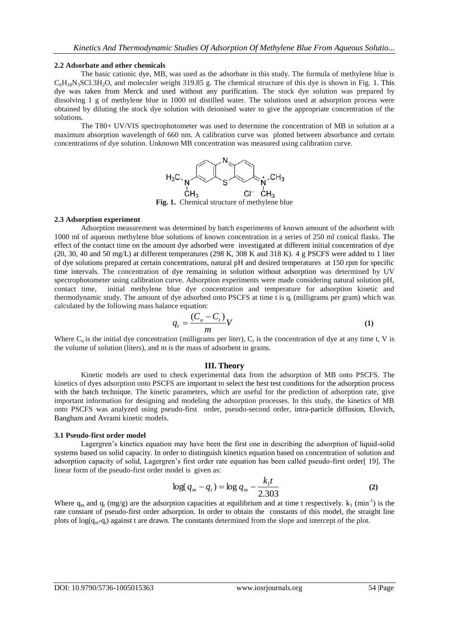## **2.2 Adsorbate and other chemicals**

The basic cationic dye, MB, was used as the adsorbate in this study. The formula of methylene blue is  $C_6H_{18}N_3SCI.3H_2O$ , and moleculer weight 319.85 g. The chemical structure of this dye is shown in Fig. 1. This dye was taken from Merck and used without any purification. The stock dye solution was prepared by dissolving 1 g of methylene blue in 1000 ml distilled water. The solutions used at adsorption process were obtained by diluting the stock dye solution with deionised water to give the appropriate concentration of the solutions.

The T80+ UV/VIS spectrophotometer was used to determine the concentration of MB in solution at a maximum absorption wavelength of 660 nm. A calibration curve was plotted between absorbance and certain concentrations of dye solution. Unknown MB concentration was measured using calibration curve.



**Fig. 1.** Chemical structure of methylene blue

# **2.3 Adsorption experiment**

Adsorption measurement was determined by batch experiments of known amount of the adsorbent with 1000 ml of aqueous methylene blue solutions of known concentration in a series of 250 ml conical flasks. The effect of the contact time on the amount dye adsorbed were investigated at different initial concentration of dye  $(20, 30, 40 \text{ and } 50 \text{ mg/L})$  at different temperatures  $(298 \text{ K}, 308 \text{ K})$  and  $318 \text{ K}$ ). 4 g PSCFS were added to 1 liter of dye solutions prepared at certain concentrations, natural pH and desired temperatures at 150 rpm for specific time intervals. The concentration of dye remaining in solution without adsorption was determined by UV spectrophotometer using calibration curve. Adsorption experiments were made considering natural solution pH, contact time, initial methylene blue dye concentration and temperature for adsorption kinetic and thermodynamic study. The amount of dye adsorbed onto PSCFS at time t is  $q_t$  (milligrams per gram) which was calculated by the following mass balance equation:

$$
q_t = \frac{(C_o - C_t)}{m}V
$$
 (1)

Where  $C_0$  is the initial dye concentration (milligrams per liter),  $C_t$  is the concentration of dye at any time t, V is the volume of solution (liters), and m is the mass of adsorbent in grams.

### **III. Theory**

Kinetic models are used to check experimental data from the adsorption of MB onto PSCFS. The kinetics of dyes adsorption onto PSCFS are important to select the best test conditions for the adsorption process with the batch technique. The kinetic parameters, which are useful for the prediction of adsorption rate, give important information for designing and modeling the adsorption processes. In this study, the kinetics of MB onto PSCFS was analyzed using pseudo-first order, pseudo-second order, intra-particle diffusion, Elovich, Bangham and Avrami kinetic models.

### **3.1 Pseudo-first order model**

Lagergren's kinetics equation may have been the first one in describing the adsorption of liquid-solid systems based on solid capacity. In order to distinguish kinetics equation based on concentration of solution and adsorption capacity of solid, Lagergren's first order rate equation has been called pseudo-first order[ 19]. The linear form of the pseudo-first order model is given as:

$$
\log(q_m - q_t) = \log q_m - \frac{k_1 t}{2.303}
$$
 (2)

Where  $q_m$  and  $q_t$  (mg/g) are the adsorption capacities at equilibrium and at time t respectively.  $k_1$  (min<sup>-1</sup>) is the rate constant of pseudo-first order adsorption. In order to obtain the constants of this model, the straight line plots of  $log(q_m-q_t)$  against t are drawn. The constants determined from the slope and intercept of the plot.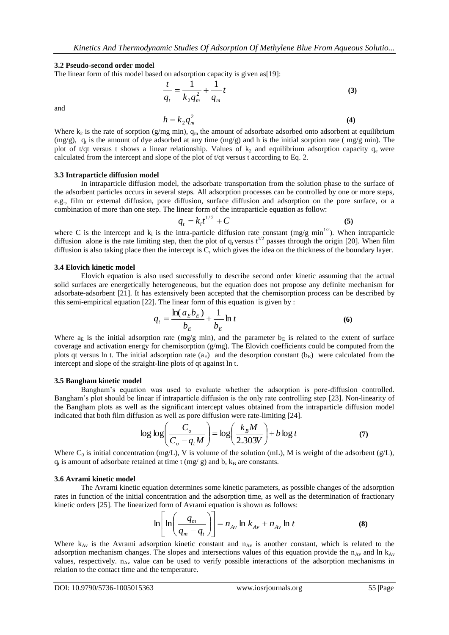#### **3.2 Pseudo-second order model**

The linear form of this model based on adsorption capacity is given as [19]:

$$
\frac{t}{q_t} = \frac{1}{k_2 q_m^2} + \frac{1}{q_m} t
$$
 (3)

and

$$
h = k_2 q_m^2 \tag{4}
$$

Where  $k_2$  is the rate of sorption (g/mg min),  $q_m$  the amount of adsorbate adsorbed onto adsorbent at equilibrium  $(mg/g)$ , q<sub>t</sub> is the amount of dye adsorbed at any time  $(mg/g)$  and h is the initial sorption rate ( $mg/g$  min). The plot of t/qt versus t shows a linear relationship. Values of  $k_2$  and equilibrium adsorption capacity  $q_e$  were calculated from the intercept and slope of the plot of t/qt versus t according to Eq. 2.

#### **3.3 Intraparticle diffusion model**

In intraparticle diffusion model, the adsorbate transportation from the solution phase to the surface of the adsorbent particles occurs in several steps. All adsorption processes can be controlled by one or more steps, e.g., film or external diffusion, pore diffusion, surface diffusion and adsorption on the pore surface, or a combination of more than one step. The linear form of the intraparticle equation as follow:

$$
q_t = k_i t^{1/2} + C
$$
 (5)

where C is the intercept and  $k_i$  is the intra-particle diffusion rate constant (mg/g min<sup>1/2</sup>). When intraparticle diffusion alone is the rate limiting step, then the plot of  $q_t$  versus  $t^{1/2}$  passes through the origin [20]. When film diffusion is also taking place then the intercept is C, which gives the idea on the thickness of the boundary layer.

#### **3.4 Elovich kinetic model**

Elovich equation is also used successfully to describe second order kinetic assuming that the actual solid surfaces are energetically heterogeneous, but the equation does not propose any definite mechanism for adsorbate-adsorbent [21]. It has extensively been accepted that the chemisorption process can be described by this semi-empirical equation  $[22]$ . The linear form of this equation is given by :

$$
q_t = \frac{\ln(a_E b_E)}{b_E} + \frac{1}{b_E} \ln t
$$
 (6)

Where  $a_E$  is the initial adsorption rate (mg/g min), and the parameter  $b_E$  is related to the extent of surface coverage and activation energy for chemisorption (g/mg). The Elovich coefficients could be computed from the plots qt versus ln t. The initial adsorption rate ( $a_E$ ) and the desorption constant ( $b_E$ ) were calculated from the intercept and slope of the straight-line plots of qt against ln t.

#### **3.5 Bangham kinetic model**

Bangham's equation was used to evaluate whether the adsorption is pore-diffusion controlled. Bangham's plot should be linear if intraparticle diffusion is the only rate controlling step [23]. Non-linearity of the Bangham plots as well as the significant intercept values obtained from the intraparticle diffusion model indicated that both film diffusion as well as pore diffusion were rate-limiting [24].

$$
\log \log \left( \frac{C_o}{C_o - q_t M} \right) = \log \left( \frac{k_B M}{2.303 V} \right) + b \log t \tag{7}
$$

Where  $C_0$  is initial concentration (mg/L), V is volume of the solution (mL), M is weight of the adsorbent (g/L),  $q_t$  is amount of adsorbate retained at time t (mg/ g) and b,  $k_B$  are constants.

#### **3.6 Avrami kinetic model**

The Avrami kinetic equation determines some kinetic parameters, as possible changes of the adsorption rates in function of the initial concentration and the adsorption time, as well as the determination of fractionary kinetic orders [25]. The linearized form of Avrami equation is shown as follows:

$$
\ln\left[\ln\left(\frac{q_m}{q_m - q_t}\right)\right] = n_{A\nu} \ln k_{A\nu} + n_{A\nu} \ln t \tag{8}
$$

Where  $k_{Av}$  is the Avrami adsorption kinetic constant and  $n_{Av}$  is another constant, which is related to the adsorption mechanism changes. The slopes and intersections values of this equation provide the  $n_{Av}$  and ln  $k_{Av}$ values, respectively.  $n_{Av}$  value can be used to verify possible interactions of the adsorption mechanisms in relation to the contact time and the temperature.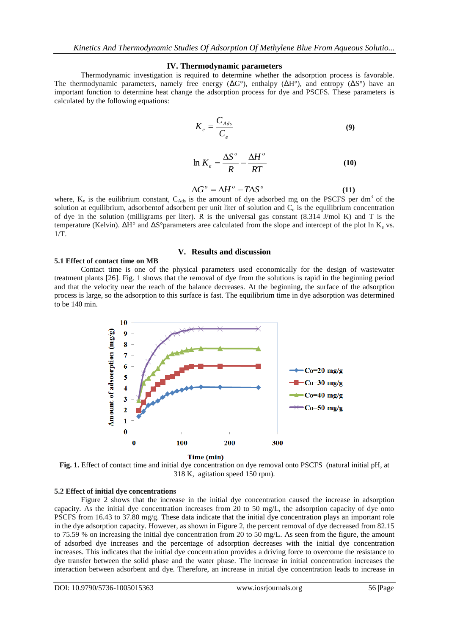#### **IV. Thermodynamic parameters**

Thermodynamic investigation is required to determine whether the adsorption process is favorable. The thermodynamic parameters, namely free energy  $(\Delta G^{\circ})$ , enthalpy  $(\Delta H^{\circ})$ , and entropy  $(\Delta S^{\circ})$  have an important function to determine heat change the adsorption process for dye and PSCFS. These parameters is calculated by the following equations:

$$
K_e = \frac{C_{Ads}}{C_e} \tag{9}
$$

$$
\ln K_e = \frac{\Delta S^o}{R} - \frac{\Delta H^o}{RT}
$$
 (10)

$$
\Delta G^{\circ} = \Delta H^{\circ} - T \Delta S^{\circ} \tag{11}
$$

where,  $K_e$  is the euilibrium constant,  $C_{\text{Ads}}$  is the amount of dye adsorbed mg on the PSCFS per dm<sup>3</sup> of the solution at equilibrium, adsorbentof adsorbent per unit liter of solution and  $C_e$  is the equilibrium concentration of dye in the solution (milligrams per liter). R is the universal gas constant (8.314 J/mol K) and T is the temperature (Kelvin).  $\Delta H^{\circ}$  and  $\Delta S^{\circ}$ parameters aree calculated from the slope and intercept of the plot ln K<sub>e</sub> vs. 1/T.

#### **V. Results and discussion**

#### **5.1 Effect of contact time on MB**

Contact time is one of the physical parameters used economically for the design of wastewater treatment plants [26]. Fig. 1 shows that the removal of dye from the solutions is rapid in the beginning period and that the velocity near the reach of the balance decreases. At the beginning, the surface of the adsorption process is large, so the adsorption to this surface is fast. The equilibrium time in dye adsorption was determined to be 140 min.



Time (min)

**Fig. 1.** Effect of contact time and initial dye concentration on dye removal onto PSCFS (natural initial pH, at 318 K, agitation speed 150 rpm).

### **5.2 Effect of initial dye concentrations**

Figure 2 shows that the increase in the initial dye concentration caused the increase in adsorption capacity. As the initial dye concentration increases from 20 to 50 mg/L, the adsorption capacity of dye onto PSCFS from 16.43 to 37.80 mg/g. These data indicate that the initial dye concentration plays an important role in the dye adsorption capacity. However, as shown in Figure 2, the percent removal of dye decreased from 82.15 to 75.59 % on increasing the initial dye concentration from 20 to 50 mg/L. As seen from the figure, the amount of adsorbed dye increases and the percentage of adsorption decreases with the initial dye concentration increases. This indicates that the initial dye concentration provides a driving force to overcome the resistance to dye transfer between the solid phase and the water phase. The increase in initial concentration increases the interaction between adsorbent and dye. Therefore, an increase in initial dye concentration leads to increase in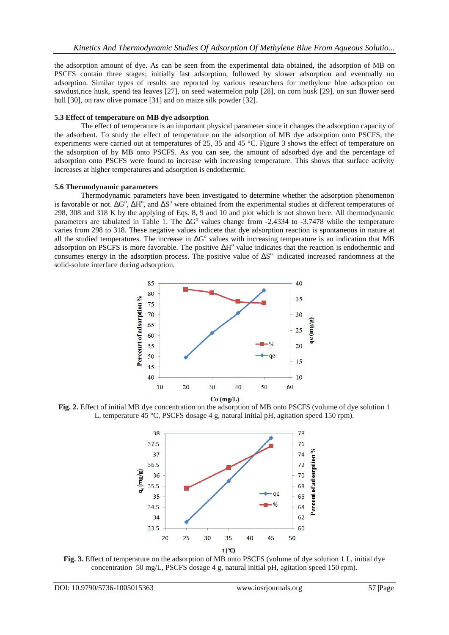the adsorption amount of dye. As can be seen from the experimental data obtained, the adsorption of MB on PSCFS contain three stages; initially fast adsorption, followed by slower adsorption and eventually no adsorption. Similar types of results are reported by various researchers for methylene blue adsorption on sawdust,rice husk, spend tea leaves [27], on seed watermelon pulp [28], on corn husk [29], on sun flower seed hull [30], on raw olive pomace [31] and on maize silk powder [32].

## **5.3 Effect of temperature on MB dye adsorption**

The effect of temperature is an important physical parameter since it changes the adsorption capacity of the adsorbent. To study the effect of temperature on the adsorption of MB dye adsorption onto PSCFS, the experiments were carried out at temperatures of 25, 35 and 45 °C. Figure 3 shows the effect of temperature on the adsorption of by MB onto PSCFS. As you can see, the amount of adsorbed dye and the percentage of adsorption onto PSCFS were found to increase with increasing temperature. This shows that surface activity increases at higher temperatures and adsorption is endothermic.

# **5.6 Thermodynamic parameters**

Thermodynamic parameters have been investigated to determine whether the adsorption phenomenon is favorable or not.  $\Delta G^{\circ}$ ,  $\Delta H^{\circ}$ , and  $\Delta S^{\circ}$  were obtained from the experimental studies at different temperatures of 298, 308 and 318 K by the applying of Eqs. 8, 9 and 10 and plot which is not shown here. All thermodynamic parameters are tabulated in Table 1. The  $\Delta G^{\circ}$  values change from -2.4334 to -3.7478 while the temperature varies from 298 to 318. These negative values indicete that dye adsorption reaction is spontaneous in nature at all the studied temperatures. The increase in  $\Delta G^{\circ}$  values with increasing temperature is an indication that MB adsorption on PSCFS is more favorable. The positive  $\Delta H^{\circ}$  value indicates that the reaction is endothermic and consumes energy in the adsorption process. The positive value of  $\Delta S^{\circ}$  indicated increased randomness at the solid-solute interface during adsorption.



**Fig. 2.** Effect of initial MB dye concentration on the adsorption of MB onto PSCFS (volume of dye solution 1 L, temperature 45 °C, PSCFS dosage 4 g, natural initial pH, agitation speed 150 rpm).



**Fig. 3.** Effect of temperature on the adsorption of MB onto PSCFS (volume of dye solution 1 L, initial dye concentration 50 mg/L, PSCFS dosage 4 g, natural initial pH, agitation speed 150 rpm).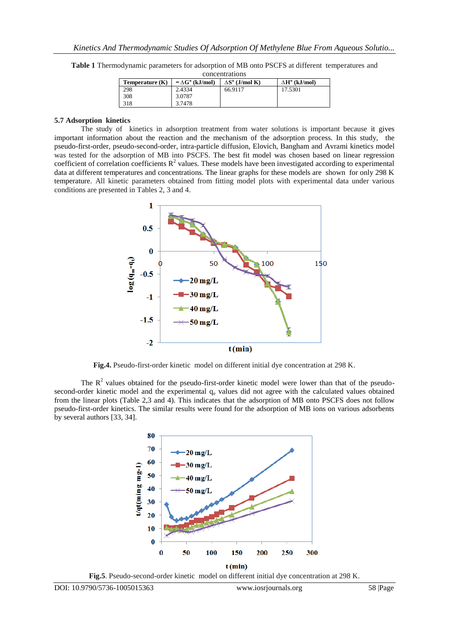| concentrations    |                              |                              |                             |  |  |
|-------------------|------------------------------|------------------------------|-----------------------------|--|--|
| Temperature $(K)$ | $-\Delta G^{\circ}$ (kJ/mol) | $\Delta S^{\circ}$ (J/mol K) | $\Delta H^{\circ}$ (kJ/mol) |  |  |
| 298               | 2.4334                       | 66.9117                      | 17.5301                     |  |  |
| 308               | 3.0787                       |                              |                             |  |  |
| 318               | 3.7478                       |                              |                             |  |  |

**Table 1** Thermodynamic parameters for adsorption of MB onto PSCFS at different temperatures and

# **5.7 Adsorption kinetics**

The study of kinetics in adsorption treatment from water solutions is important because it gives important information about the reaction and the mechanism of the adsorption process. In this study, the pseudo-first-order, pseudo-second-order, intra-particle diffusion, Elovich, Bangham and Avrami kinetics model was tested for the adsorption of MB into PSCFS. The best fit model was chosen based on linear regression coefficient of correlation coefficients  $R^2$  values. These models have been investigated according to experimental data at different temperatures and concentrations. The linear graphs for these models are shown for only 298 K temperature. All kinetic parameters obtained from fitting model plots with experimental data under various conditions are presented in Tables 2, 3 and 4.



**Fig.4.** Pseudo-first-order kinetic model on different initial dye concentration at 298 K.

The  $R<sup>2</sup>$  values obtained for the pseudo-first-order kinetic model were lower than that of the pseudosecond-order kinetic model and the experimental  $q_e$  values did not agree with the calculated values obtained from the linear plots (Table 2,3 and 4). This indicates that the adsorption of MB onto PSCFS does not follow pseudo-first-order kinetics. The similar results were found for the adsorption of MB ions on various adsorbents by several authors [33, 34].



**Fig.5**. Pseudo-second-order kinetic model on different initial dye concentration at 298 K.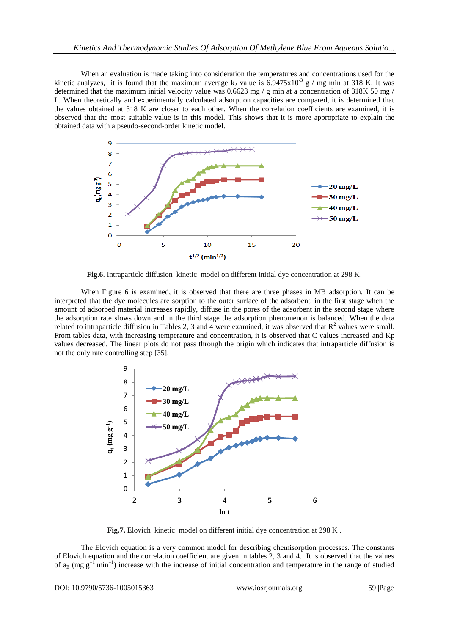When an evaluation is made taking into consideration the temperatures and concentrations used for the kinetic analyzes, it is found that the maximum average  $k_2$  value is 6.9475x10<sup>-3</sup> g / mg min at 318 K. It was determined that the maximum initial velocity value was 0.6623 mg / g min at a concentration of 318K 50 mg / L. When theoretically and experimentally calculated adsorption capacities are compared, it is determined that the values obtained at 318 K are closer to each other. When the correlation coefficients are examined, it is observed that the most suitable value is in this model. This shows that it is more appropriate to explain the obtained data with a pseudo-second-order kinetic model.



**Fig.6**. Intraparticle diffusion kinetic model on different initial dye concentration at 298 K.

When Figure 6 is examined, it is observed that there are three phases in MB adsorption. It can be interpreted that the dye molecules are sorption to the outer surface of the adsorbent, in the first stage when the amount of adsorbed material increases rapidly, diffuse in the pores of the adsorbent in the second stage where the adsorption rate slows down and in the third stage the adsorption phenomenon is balanced. When the data related to intraparticle diffusion in Tables 2, 3 and 4 were examined, it was observed that  $R^2$  values were small. From tables data, with increasing temperature and concentration, it is observed that C values increased and Kp values decreased. The linear plots do not pass through the origin which indicates that intraparticle diffusion is not the only rate controlling step [35].



Fig.7. Elovich kinetic model on different initial dye concentration at 298 K.

The Elovich equation is a very common model for describing chemisorption processes. The constants of Elovich equation and the correlation coefficient are given in tables 2, 3 and 4. It is observed that the values of  $a_E$  (mg  $g^{-1}$  min<sup>-1</sup>) increase with the increase of initial concentration and temperature in the range of studied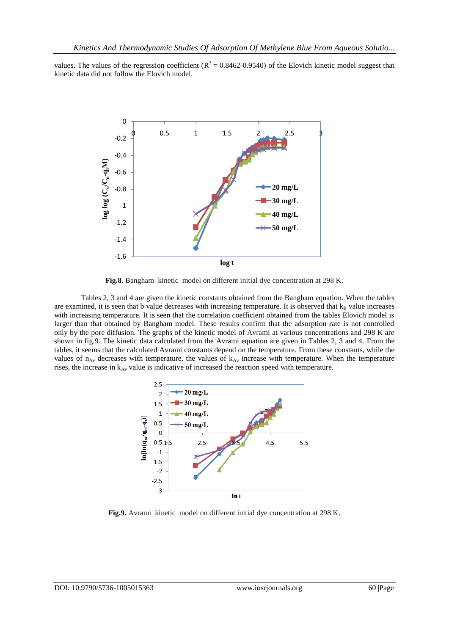values. The values of the regression coefficient ( $R^2 = 0.8462$ -0.9540) of the Elovich kinetic model suggest that kinetic data did not follow the Elovich model.



**Fig.8.** Bangham kinetic model on different initial dye concentration at 298 K.

Tables 2, 3 and 4 are given the kinetic constants obtained from the Bangham equation. When the tables are examined, it is seen that b value decreases with increasing temperature. It is observed that  $k_B$  value increases with increasing temperature. It is seen that the correlation coefficient obtained from the tables Elovich model is larger than that obtained by Bangham model. These results confirm that the adsorption rate is not controlled only by the pore diffusion. The graphs of the kinetic model of Avrami at various concentrations and 298 K are shown in fig.9. The kinetic data calculated from the Avrami equation are given in Tables 2, 3 and 4. From the tables, it seems that the calculated Avrami constants depend on the temperature. From these constants, while the values of  $n_{Av}$  decreases with temperature, the values of  $k_{Av}$  increase with temperature. When the temperature rises, the increase in  $k_{Av}$  value is indicative of increased the reaction speed with temperature.



**Fig.9.** Avrami kinetic model on different initial dye concentration at 298 K.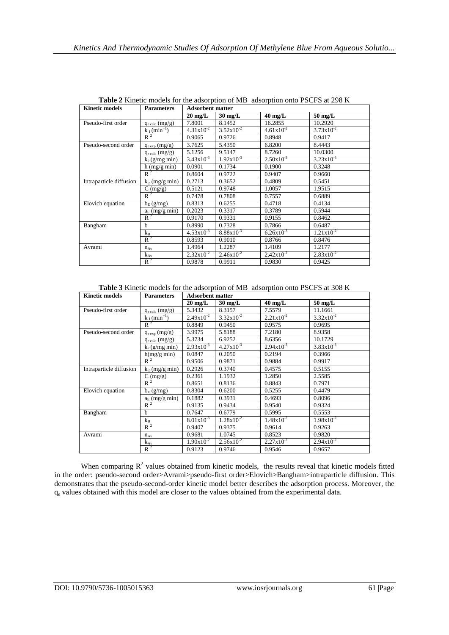| <b>Kinetic models</b>   | <b>Parameters</b>               | <b>Adsorbent matter</b> |                       |                       |                       |
|-------------------------|---------------------------------|-------------------------|-----------------------|-----------------------|-----------------------|
|                         |                                 | $20 \text{ mg/L}$       | $30 \text{ mg/L}$     | $40 \text{ mg/L}$     | $50 \text{ mg/L}$     |
| Pseudo-first order      | $q_{\text{e calc}}$ (mg/g)      | 7.8001                  | 8.1452                | 16.2855               | 10.2920               |
|                         | $k_1$ (min <sup>-1</sup> )      | $4.31x10^{-2}$          | $3.52 \times 10^{-2}$ | $4.61x10^{-2}$        | $3.73x10^{-2}$        |
|                         | $R^2$                           | 0.9065                  | 0.9726                | 0.8948                | 0.9417                |
| Pseudo-second order     | $q_{e \exp}(mg/g)$              | 3.7625                  | 5.4350                | 6.8200                | 8.4443                |
|                         | $q_{\text{e calc}}$ (mg/g)      | 5.1256                  | 9.5147                | 8.7260                | 10.0300               |
|                         | $k_2$ (g/mg min)                | $3.43x10^{-3}$          | $1.92x10^{-3}$        | $2.50x10^{-3}$        | $3.23 \times 10^{-3}$ |
|                         | $h$ (mg/g min)                  | 0.0901                  | 0.1734                | 0.1900                | 0.3248                |
|                         | $R^2$                           | 0.8604                  | 0.9722                | 0.9407                | 0.9660                |
| Intraparticle diffusion | $k_p(mg/g min)$                 | 0.2713                  | 0.3652                | 0.4809                | 0.5451                |
|                         | $C \left( \frac{mg}{g} \right)$ | 0.5121                  | 0.9748                | 1.0057                | 1.9515                |
|                         | $R^2$                           | 0.7478                  | 0.7808                | 0.7557                | 0.6889                |
| Elovich equation        | $b_E$ (g/mg)                    | 0.8313                  | 0.6255                | 0.4718                | 0.4134                |
|                         | $a_E$ (mg/g min)                | 0.2023                  | 0.3317                | 0.3789                | 0.5944                |
|                         | $R^2$                           | 0.9170                  | 0.9331                | 0.9155                | 0.8462                |
| Bangham                 | $\mathbf b$                     | 0.8990                  | 0.7328                | 0.7866                | 0.6487                |
|                         | $k_B$                           | $4.53x10^{-3}$          | $8.88 \times 10^{-3}$ | $6.26x10^{-3}$        | $1.21x10^{-2}$        |
|                         | $R^2$                           | 0.8593                  | 0.9010                | 0.8766                | 0.8476                |
| Avrami                  | $n_{Av}$                        | 1.4964                  | 1.2287                | 1.4109                | 1.2177                |
|                         | $k_{Av}$                        | $2.32 \times 10^{-2}$   | $2.46x10^{-2}$        | $2.42 \times 10^{-2}$ | $2.83 \times 10^{-2}$ |
|                         | $R^2$                           | 0.9878                  | 0.9911                | 0.9830                | 0.9425                |

**Table 2** Kinetic models for the adsorption of MB adsorption onto PSCFS at 298 K

**Table 3** Kinetic models for the adsorption of MB adsorption onto PSCFS at 308 K

| <b>Kinetic models</b>   | <b>Parameters</b>               | <b>Adsorbent matter</b> |                   |                   |                       |
|-------------------------|---------------------------------|-------------------------|-------------------|-------------------|-----------------------|
|                         |                                 | $20 \text{ mg/L}$       | $30 \text{ mg/L}$ | $40 \text{ mg/L}$ | $50 \text{ mg/L}$     |
| Pseudo-first order      | $q_{e \, calc}(mg/g)$           | 5.3432                  | 8.3157            | 7.5579            | 11.1661               |
|                         | $k_1$ (min <sup>-1</sup> )      | $2.49x10^{-2}$          | $3.32x10^{-2}$    | $2.21x10^{-2}$    | $3.32x10^{-2}$        |
|                         | $R^2$                           | 0.8849                  | 0.9450            | 0.9575            | 0.9695                |
| Pseudo-second order     | $q_{e \exp}(mg/g)$              | 3.9975                  | 5.8188            | 7.2180            | 8.9358                |
|                         | $q_{\text{e calc}}$ (mg/g)      | 5.3734                  | 6.9252            | 8.6356            | 10.1729               |
|                         | $k_2$ (g/mg min)                | $2.93x10^{-3}$          | $4.27x10^{-3}$    | $2.94x10^{-3}$    | $3.83 \times 10^{-3}$ |
|                         | h(mg/g min)                     | 0.0847                  | 0.2050            | 0.2194            | 0.3966                |
|                         | $R^2$                           | 0.9506                  | 0.9871            | 0.9884            | 0.9917                |
| Intraparticle diffusion | $k_p(mg/g min)$                 | 0.2926                  | 0.3740            | 0.4575            | 0.5155                |
|                         | $C \left( \frac{mg}{g} \right)$ | 0.2361                  | 1.1932            | 1.2850            | 2.5585                |
|                         | $R^2$                           | 0.8651                  | 0.8136            | 0.8843            | 0.7971                |
| Elovich equation        | $b_E$ (g/mg)                    | 0.8304                  | 0.6200            | 0.5255            | 0.4479                |
|                         | $a_E$ (mg/g min)                | 0.1882                  | 0.3931            | 0.4693            | 0.8096                |
|                         | $R^2$                           | 0.9135                  | 0.9434            | 0.9540            | 0.9324                |
| Bangham                 | h                               | 0.7647                  | 0.6779            | 0.5995            | 0.5553                |
|                         | $k_B$                           | $8.01x10^{-3}$          | $1.28x10^{-2}$    | $1.48x10^{-2}$    | $1.98x10^{-2}$        |
|                         | $R^2$                           | 0.9407                  | 0.9375            | 0.9614            | 0.9263                |
| Avrami                  | $n_{Av}$                        | 0.9681                  | 1.0745            | 0.8523            | 0.9820                |
|                         | $k_{Av}$                        | $1.90x10^{-2}$          | $2.56x10^{-2}$    | $2.27x10^{-2}$    | $2.94x10^{-2}$        |
|                         | $R^2$                           | 0.9123                  | 0.9746            | 0.9546            | 0.9657                |

When comparing  $R^2$  values obtained from kinetic models, the results reveal that kinetic models fitted in the order: pseudo-second order>Avrami>pseudo-first order>Elovich>Bangham>intraparticle diffusion. This demonstrates that the pseudo-second-order kinetic model better describes the adsorption process. Moreover, the q<sup>e</sup> values obtained with this model are closer to the values obtained from the experimental data.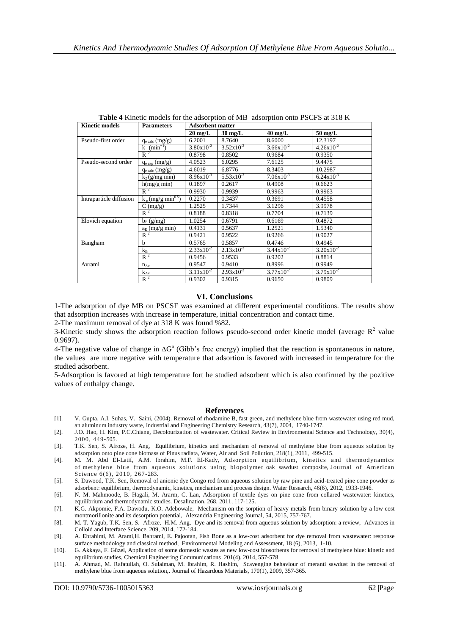| <b>Kinetic models</b>   | <b>Parameters</b>                | <b>Adsorbent matter</b> |                       |                       |                       |
|-------------------------|----------------------------------|-------------------------|-----------------------|-----------------------|-----------------------|
|                         |                                  | $20 \text{ mg/L}$       | $30 \text{ mg/L}$     | $40 \text{ mg/L}$     | $50 \text{ mg/L}$     |
| Pseudo-first order      | $q_{e \text{ calc}}$ (mg/g)      | 6.2001                  | 8.7640                | 8.6000                | 12.3197               |
|                         | $k_1$ (min <sup>-1</sup> )       | $3.80x10^{-2}$          | $3.52 \times 10^{-2}$ | $3.66x10^{-2}$        | $4.26x10^{-2}$        |
|                         | $R^2$                            | 0.8798                  | 0.8502                | 0.9684                | 0.9350                |
| Pseudo-second order     | $q_{e \exp}(mg/g)$               | 4.0523                  | 6.0295                | 7.6125                | 9.4475                |
|                         | $q_{e \text{ calc}} (mg/g)$      | 4.6019                  | 6.8776                | 8.3403                | 10.2987               |
|                         | $k_2$ (g/mg min)                 | $8.96x10^{-3}$          | $5.53 \times 10^{-3}$ | $7.06x10^{-3}$        | $6.24 \times 10^{-3}$ |
|                         | h(mg/g min)                      | 0.1897                  | 0.2617                | 0.4908                | 0.6623                |
|                         | $R^2$                            | 0.9930                  | 0.9939                | 0.9963                | 0.9963                |
| Intraparticle diffusion | $k_p$ (mg/g min <sup>0.5</sup> ) | 0.2270                  | 0.3437                | 0.3691                | 0.4558                |
|                         | $C \left( \frac{mg}{g} \right)$  | 1.2525                  | 1.7344                | 3.1296                | 3.9978                |
|                         | $R^2$                            | 0.8188                  | 0.8318                | 0.7704                | 0.7139                |
| Elovich equation        | $b_E$ (g/mg)                     | 1.0254                  | 0.6791                | 0.6169                | 0.4872                |
|                         | $a_E$ (mg/g min)                 | 0.4131                  | 0.5637                | 1.2521                | 1.5340                |
|                         | $R^2$                            | 0.9421                  | 0.9522                | 0.9266                | 0.9027                |
| Bangham                 | b                                | 0.5765                  | 0.5857                | 0.4746                | 0.4945                |
|                         | $k_B$                            | $2.33 \times 10^{-2}$   | $2.13x10^{-2}$        | $3.44 \times 10^{-2}$ | $3.20x10^{-2}$        |
|                         | $R^2$                            | 0.9456                  | 0.9533                | 0.9202                | 0.8814                |
| Avrami                  | $n_{Av}$                         | 0.9547                  | 0.9410                | 0.8996                | 0.9949                |
|                         | $k_{Av}$                         | $3.11x10^{-2}$          | $2.93x10^{-2}$        | $3.77 \times 10^{-2}$ | $3.79x10^{-2}$        |
|                         | $R^2$                            | 0.9302                  | 0.9315                | 0.9650                | 0.9809                |

**Table 4** Kinetic models for the adsorption of MB adsorption onto PSCFS at 318 K

# **VI. Conclusions**

1-The adsorption of dye MB on PSCSF was examined at different experimental conditions. The results show that adsorption increases with increase in temperature, initial concentration and contact time.

2-The maximum removal of dye at 318 K was found %82.

3-Kinetic study shows the adsorption reaction follows pseudo-second order kinetic model (average  $\mathbb{R}^2$  value 0.9697).

4-The negative value of change in  $\Delta G^{\circ}$  (Gibb's free energy) implied that the reaction is spontaneous in nature, the values are more negative with temperature that adsortion is favored with increased in temperature for the studied adsorbent.

5-Adsorption is favored at high temperature fort he studied adsorbent which is also confirmed by the pozitive values of enthalpy change.

### **References**

- [1]. V. Gupta, A.I. Suhas, V. Saini, (2004). Removal of rhodamine B, fast green, and methylene blue from wastewater using red mud, an aluminum industry waste, Industrial and Engineering Chemistry Research, 43(7), 2004, 1740-1747.
- [2]. J.O. Hao, H. Kim, P.C.Chiang, Decolourization of wastewater. Critical Review in Environmental Science and Technology, 30(4), 2000, 449-505.
- [3]. T.K. Sen, S. Afroze, H. Ang, Equilibrium, kinetics and mechanism of removal of methylene blue from aqueous solution by adsorption onto pine cone biomass of Pinus radiata, Water, Air and Soil Pollution, 218(1), 2011, 499-515.
- [4]. M. M. Abd EI-Latif, A.M. Ibrahim, M.F. EI-Kady, Adsorption equilibrium, kinetics and thermodynamics of methylene blue from aqueous solutions using biopolymer oak sawdust composite, Journal of American Science 6(6), 2010, 267-283.
- [5]. S. Dawood, T.K. Sen, Removal of anionic dye Congo red from aqueous solution by raw pine and acid-treated pine cone powder as adsorbent: equilibrium, thermodynamic, kinetics, mechanism and process design. Water Research, 46(6), 2012, 1933-1946.
- [6]. N. M. Mahmoode, B. Hagali, M. Ararm, C. Lan, Adsorption of textile dyes on pine cone from collared wastewater: kinetics, equilibrium and thermodynamic studies. Desalination, 268, 2011, 117-125.
- [7]. K.G. Akpomie, F.A. Dawodu, K.O. Adebowale, Mechanism on the sorption of heavy metals from binary solution by a low cost montmorillonite and its desorption potential, Alexandria Engineering Journal, 54, 2015, 757-767.
- [8]. M. T. Yagub, T.K. Sen, S. Afroze, H.M. Ang, Dye and its removal from aqueous solution by adsorption: a review, Advances in Colloid and Interface Science, 209, 2014, 172-184.
- [9]. A. Ebrahimi, M. Arami,H. Bahrami, E. Pajootan, Fish Bone as a low-cost adsorbent for dye removal from wastewater: response surface methodology and classical method, Environmental Modeling and Assessment, 18 (6), 2013, 1-10.
- [10]. G. Akkaya, F. Güzel, Application of some domestic wastes as new low-cost biosorbents for removal of methylene blue: kinetic and equilibrium studies, Chemical Engineering Communications 201(4), 2014, 557-578.
- [11]. A. Ahmad, M. Rafatullah, O. Sulaiman, M. Ibrahim, R. Hashim, Scavenging behaviour of meranti sawdust in the removal of methylene blue from aqueous solution,. Journal of Hazardous Materials, 170(1), 2009, 357-365.